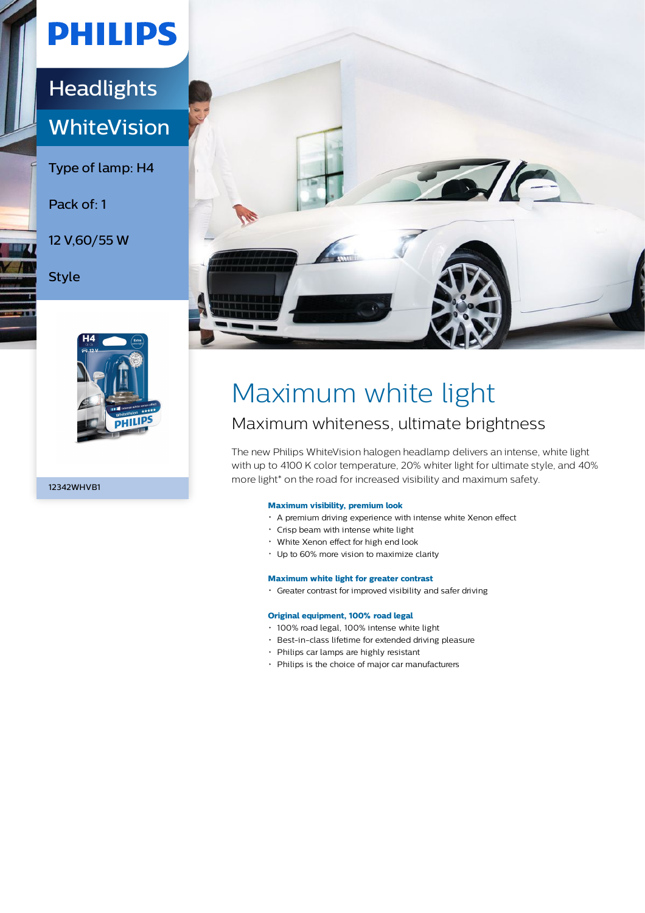# **PHILIPS**

## **Headlights WhiteVision**

Type of lamp: H4

### Pack of: 1

12 V,60/55 W

Style



12342WHVB1



## Maximum white light

### Maximum whiteness, ultimate brightness

The new Philips WhiteVision halogen headlamp delivers an intense, white light with up to 4100 K color temperature, 20% whiter light for ultimate style, and 40% more light\* on the road for increased visibility and maximum safety.

### **Maximum visibility, premium look**

- A premium driving experience with intense white Xenon effect
- Crisp beam with intense white light
- White Xenon effect for high end look
- Up to 60% more vision to maximize clarity

#### **Maximum white light for greater contrast**

Greater contrast for improved visibility and safer driving

#### **Original equipment, 100% road legal**

- 100% road legal, 100% intense white light
- Best-in-class lifetime for extended driving pleasure
- Philips car lamps are highly resistant
- Philips is the choice of major car manufacturers